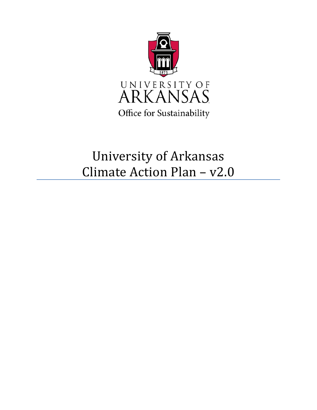

University of Arkansas Climate Action Plan – v2.0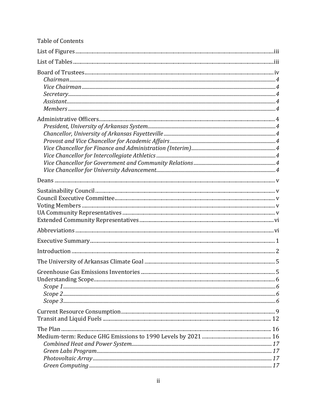| <b>Table of Contents</b> |  |
|--------------------------|--|
|                          |  |
|                          |  |
|                          |  |
|                          |  |
|                          |  |
|                          |  |
|                          |  |
|                          |  |
|                          |  |
|                          |  |
|                          |  |
|                          |  |
|                          |  |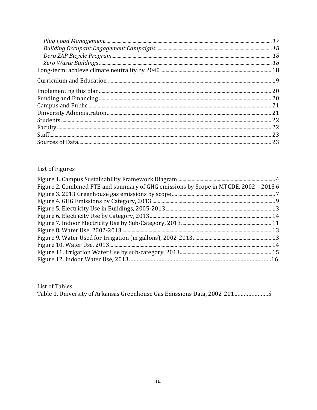# List of Figures

| Figure 2. Combined FTE and summary of GHG emissions by Scope in MTCDE, 2002 - 2013 6 |  |
|--------------------------------------------------------------------------------------|--|
|                                                                                      |  |
|                                                                                      |  |
|                                                                                      |  |
|                                                                                      |  |
|                                                                                      |  |
|                                                                                      |  |
|                                                                                      |  |
|                                                                                      |  |
|                                                                                      |  |
|                                                                                      |  |

List of Tables Table 1. University of Arkansas Greenhouse Gas Emissions Data, 2002-201......................5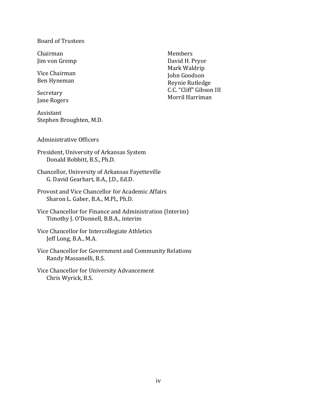Board of Trustees

Chairman Jim von Gremp

Vice Chairman Ben Hyneman

Secretary Jane Rogers

Assistant Stephen Broughten, M.D.

Members David H. Pryor Mark Waldrip John Goodson Reynie Rutledge C.C. "Cliff" Gibson III Morril Harriman

Administrative Officers

President, University of Arkansas System Donald Bobbitt, B.S., Ph.D.

- Chancellor, University of Arkansas Fayetteville G. David Gearhart, B.A., J.D., Ed.D.
- Provost and Vice Chancellor for Academic Affairs Sharon L. Gaber, B.A., M.Pl., Ph.D.
- Vice Chancellor for Finance and Administration (Interim) Timothy J. O'Donnell, B.B.A., interim
- Vice Chancellor for Intercollegiate Athletics Jeff Long, B.A., M.A.
- Vice Chancellor for Government and Community Relations Randy Massanelli, B.S.
- Vice Chancellor for University Advancement Chris Wyrick, B.S.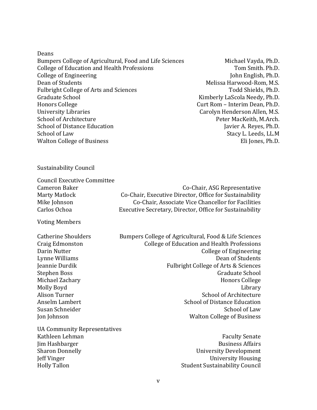Deans

- Bumpers College of Agricultural, Food and Life Sciences Michael Vayda, Ph.D.<br>College of Education and Health Professions Tom Smith. Ph.D. College of Education and Health Professions Tom Smith. Ph.D.<br>College of Engineering Tom Smith. Ph.D. College of Engineering<br>Dean of Students Fulbright College of Arts and Sciences<br>Graduate School Graduate School Kimberly LaScola Needy, Ph.D. Honors College Curt Rom – Interim Dean, Ph.D.<br>University Libraries Carolyn Henderson Allen, M.S. University Libraries<br>
School of Architecture<br>
Carolyn Henderson Allen, M.S.<br>
Peter MacKeith, M.Arch. School of Distance Education<br>School of Law Walton College of Business
	- Melissa Harwood-Rom, M.S.<br>Todd Shields, Ph.D. Peter MacKeith, M.Arch.<br>Javier A. Reyes, Ph.D. Stacy L. Leeds, LL.M<br>Eli Jones, Ph.D.

Sustainability Council

| Council Executive Committee |                                                          |
|-----------------------------|----------------------------------------------------------|
| Cameron Baker               | Co-Chair, ASG Representative                             |
| Marty Matlock               | Co-Chair, Executive Director, Office for Sustainability  |
| Mike Johnson                | Co-Chair, Associate Vice Chancellor for Facilities       |
| Carlos Ochoa                | Executive Secretary, Director, Office for Sustainability |
|                             |                                                          |

Voting Members

Susan Schneider<br>Jon Johnson

UA Community Representatives Kathleen Lehman Faculty Senate<br>
I'm Hashbarger Faculty Senate<br>
Business Affairs Jim Hashbarger Business Affairs Sharon Donnelly University Development<br>
Jeff Vinger University Housing Jeff Vinger University Housing<br>Holly Tallon Student Sustainability Council

Catherine Shoulders Bumpers College of Agricultural, Food & Life Sciences<br>Craig Edmonston College of Education and Health Professions Craig Edmonston College of Education and Health Professions Darin Nutter Lynne Williams (2008) 2013 1991 10:30 Monet College of Engineering Lynne Williams (2009) 2013 199<br>College of Engineering (2009) 2014 1991 10:30 Monet College of Students (2009) 2014 1991 10:30 Monet College o Lynne Williams Dean of Students Jeannie Durdik Fulbright College of Arts & Sciences Graduate School<br>Honors College Michael Zachary Honors College Molly Boyd Library Alison Turner School of Architecture<br>Anselm Lambert School of Distance Education School of Distance Education<br>School of Law Walton College of Business

Student Sustainability Council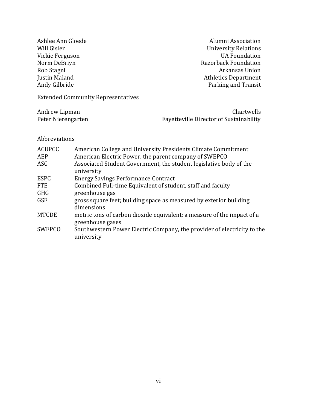| Ashlee Ann Gloede                         | Alumni Association                      |
|-------------------------------------------|-----------------------------------------|
| Will Gisler                               | University Relations                    |
| Vickie Ferguson                           | <b>UA Foundation</b>                    |
| Norm DeBriyn                              | <b>Razorback Foundation</b>             |
| Rob Stagni                                | Arkansas Union                          |
| Justin Maland                             | <b>Athletics Department</b>             |
| Andy Gilbride                             | Parking and Transit                     |
| <b>Extended Community Representatives</b> |                                         |
| Andrew Lipman                             | Chartwells                              |
| Peter Nierengarten                        | Fayetteville Director of Sustainability |
|                                           |                                         |
| Abbreviations                             |                                         |

| <b>ACUPCC</b> | American College and University Presidents Climate Commitment                              |
|---------------|--------------------------------------------------------------------------------------------|
| AEP           | American Electric Power, the parent company of SWEPCO                                      |
| ASG           | Associated Student Government, the student legislative body of the<br>university           |
| <b>ESPC</b>   | <b>Energy Savings Performance Contract</b>                                                 |
| <b>FTE</b>    | Combined Full-time Equivalent of student, staff and faculty                                |
| <b>GHG</b>    | greenhouse gas                                                                             |
| <b>GSF</b>    | gross square feet; building space as measured by exterior building<br>dimensions           |
| <b>MTCDE</b>  | metric tons of carbon dioxide equivalent; a measure of the impact of a<br>greenhouse gases |
| <b>SWEPCO</b> | Southwestern Power Electric Company, the provider of electricity to the<br>university      |
|               |                                                                                            |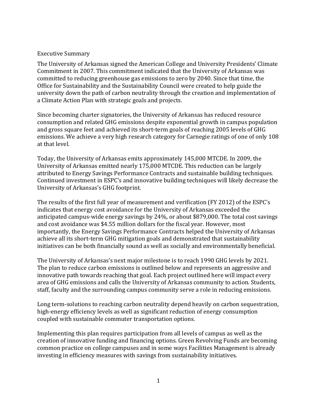#### Executive Summary

The University of Arkansas signed the American College and University Presidents' Climate Commitment in 2007. This commitment indicated that the University of Arkansas was committed to reducing greenhouse gas emissions to zero by 2040. Since that time, the Office for Sustainability and the Sustainability Council were created to help guide the university down the path of carbon neutrality through the creation and implementation of a Climate Action Plan with strategic goals and projects.

Since becoming charter signatories, the University of Arkansas has reduced resource consumption and related GHG emissions despite exponential growth in campus population and gross square feet and achieved its short-term goals of reaching 2005 levels of GHG emissions. We achieve a very high research category for Carnegie ratings of one of only 108 at that level.

Today, the University of Arkansas emits approximately 145,000 MTCDE. In 2009, the University of Arkansas emitted nearly 175,000 MTCDE. This reduction can be largely attributed to Energy Savings Performance Contracts and sustainable building techniques. Continued investment in ESPC's and innovative building techniques will likely decrease the University of Arkansas's GHG footprint.

The results of the first full year of measurement and verification (FY 2012) of the ESPC's indicates that energy cost avoidance for the University of Arkansas exceeded the anticipated campus-wide energy savings by 24%, or about \$879,000. The total cost savings and cost avoidance was \$4.55 million dollars for the fiscal year. However, most importantly, the Energy Savings Performance Contracts helped the University of Arkansas achieve all its short-term GHG mitigation goals and demonstrated that sustainability initiatives can be both financially sound as well as socially and environmentally beneficial.

The University of Arkansas's next major milestone is to reach 1990 GHG levels by 2021. The plan to reduce carbon emissions is outlined below and represents an aggressive and innovative path towards reaching that goal. Each project outlined here will impact every area of GHG emissions and calls the University of Arkansas community to action. Students, staff, faculty and the surrounding campus community serve a role in reducing emissions.

Long term-solutions to reaching carbon neutrality depend heavily on carbon sequestration, high-energy efficiency levels as well as significant reduction of energy consumption coupled with sustainable commuter transportation options.

Implementing this plan requires participation from all levels of campus as well as the creation of innovative funding and financing options. Green Revolving Funds are becoming common practice on college campuses and in some ways Facilities Management is already investing in efficiency measures with savings from sustainability initiatives.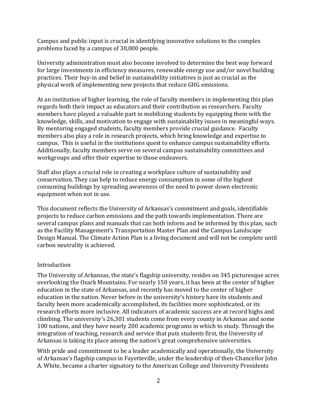Campus and public input is crucial in identifying innovative solutions to the complex problems faced by a campus of 30,000 people.

University administration must also become involved to determine the best way forward for large investments in efficiency measures, renewable energy use and/or novel building practices. Their buy-in and belief in sustainability initiatives is just as crucial as the physical work of implementing new projects that reduce GHG emissions.

At an institution of higher learning, the role of faculty members in implementing this plan regards both their impact as educators and their contribution as researchers. Faculty members have played a valuable part in mobilizing students by equipping them with the knowledge, skills, and motivation to engage with sustainability issues in meaningful ways. By mentoring engaged students, faculty members provide crucial guidance. Faculty members also play a role in research projects, which bring knowledge and expertise to campus. This is useful in the institutions quest to enhance campus sustainability efforts. Additionally, faculty members serve on several campus sustainability committees and workgroups and offer their expertise to those endeavors.

Staff also plays a crucial role in creating a workplace culture of sustainability and conservation. They can help to reduce energy consumption in some of the highest consuming buildings by spreading awareness of the need to power down electronic equipment when not in use.

This document reflects the University of Arkansas's commitment and goals, identifiable projects to reduce carbon emissions and the path towards implementation. There are several campus plans and manuals that can both inform and be informed by this plan, such as the Facility Management's Transportation Master Plan and the Campus Landscape Design Manual. The Climate Action Plan is a living document and will not be complete until carbon neutrality is achieved.

#### Introduction

The University of Arkansas, the state's flagship university, resides on 345 picturesque acres overlooking the Ozark Mountains. For nearly 150 years, it has been at the center of higher education in the state of Arkansas, and recently has moved to the center of higher education in the nation. Never before in the university's history have its students and faculty been more academically accomplished, its facilities more sophisticated, or its research efforts more inclusive. All indicators of academic success are at record highs and climbing. The university's 26,301 students come from every county in Arkansas and some 100 nations, and they have nearly 200 academic programs in which to study. Through the integration of teaching, research and service that puts students first, the University of Arkansas is taking its place among the nation's great comprehensive universities.

With pride and commitment to be a leader academically and operationally, the University of Arkansas's flagship campus in Fayetteville, under the leadership of then-Chancellor John A. White, became a charter signatory to the American College and University Presidents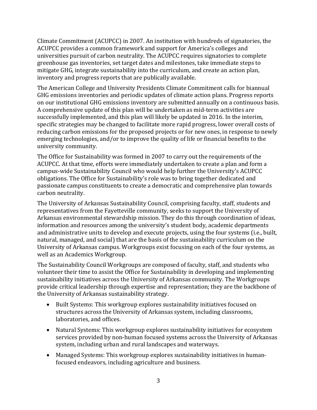Climate Commitment (ACUPCC) in 2007. An institution with hundreds of signatories, the ACUPCC provides a common framework and support for America's colleges and universities pursuit of carbon neutrality. The ACUPCC requires signatories to complete greenhouse gas inventories, set target dates and milestones, take immediate steps to mitigate GHG, integrate sustainability into the curriculum, and create an action plan, inventory and progress reports that are publically available.

The American College and University Presidents Climate Commitment calls for biannual GHG emissions inventories and periodic updates of climate action plans. Progress reports on our institutional GHG emissions inventory are submitted annually on a continuous basis. A comprehensive update of this plan will be undertaken as mid-term activities are successfully implemented, and this plan will likely be updated in 2016. In the interim, specific strategies may be changed to facilitate more rapid progress, lower overall costs of reducing carbon emissions for the proposed projects or for new ones, in response to newly emerging technologies, and/or to improve the quality of life or financial benefits to the university community.

The Office for Sustainability was formed in 2007 to carry out the requirements of the ACUPCC. At that time, efforts were immediately undertaken to create a plan and form a campus-wide Sustainability Council who would help further the University's ACUPCC obligations. The Office for Sustainability's role was to bring together dedicated and passionate campus constituents to create a democratic and comprehensive plan towards carbon neutrality.

The University of Arkansas Sustainability Council, comprising faculty, staff, students and representatives from the Fayetteville community, seeks to support the University of Arkansas environmental stewardship mission. They do this through coordination of ideas, information and resources among the university's student body, academic departments and administrative units to develop and execute projects, using the four systems (i.e., built, natural, managed, and social) that are the basis of the sustainability curriculum on the University of Arkansas campus. Workgroups exist focusing on each of the four systems, as well as an Academics Workgroup.

The Sustainability Council Workgroups are composed of faculty, staff, and students who volunteer their time to assist the Office for Sustainability in developing and implementing sustainability initiatives across the University of Arkansas community. The Workgroups provide critical leadership through expertise and representation; they are the backbone of the University of Arkansas sustainability strategy.

- Built Systems: This workgroup explores sustainability initiatives focused on structures across the University of Arkansas system, including classrooms, laboratories, and offices.
- Natural Systems: This workgroup explores sustainability initiatives for ecosystem services provided by non-human focused systems across the University of Arkansas system, including urban and rural landscapes and waterways.
- Managed Systems: This workgroup explores sustainability initiatives in humanfocused endeavors, including agriculture and business.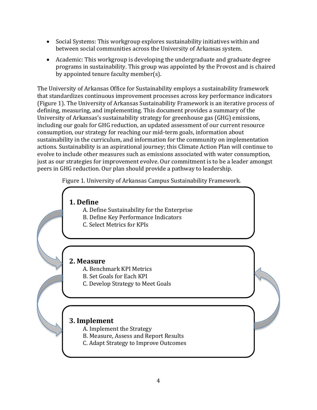- Social Systems: This workgroup explores sustainability initiatives within and between social communities across the University of Arkansas system.
- Academic: This workgroup is developing the undergraduate and graduate degree programs in sustainability. This group was appointed by the Provost and is chaired by appointed tenure faculty member(s).

The University of Arkansas Office for Sustainability employs a sustainability framework that standardizes continuous improvement processes across key performance indicators (Figure 1). The University of Arkansas Sustainability Framework is an iterative process of defining, measuring, and implementing. This document provides a summary of the University of Arkansas's sustainability strategy for greenhouse gas (GHG) emissions, including our goals for GHG reduction, an updated assessment of our current resource consumption, our strategy for reaching our mid-term goals, information about sustainability in the curriculum, and information for the community on implementation actions. Sustainability is an aspirational journey; this Climate Action Plan will continue to evolve to include other measures such as emissions associated with water consumption, just as our strategies for improvement evolve. Our commitment is to be a leader amongst peers in GHG reduction. Our plan should provide a pathway to leadership.

Figure 1. University of Arkansas Campus Sustainability Framework.

# **1. Define**

- A. Define Sustainability for the Enterprise
- B. Define Key Performance Indicators
- C. Select Metrics for KPIs

# **2. Measure**

- A. Benchmark KPI Metrics
- B. Set Goals for Each KPI
- C. Develop Strategy to Meet Goals

# **3. Implement**

- A. Implement the Strategy
- B. Measure, Assess and Report Results
- C. Adapt Strategy to Improve Outcomes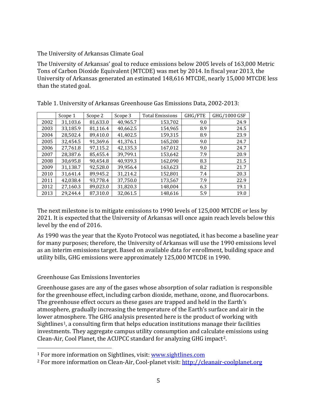## The University of Arkansas Climate Goal

The University of Arkansas' goal to reduce emissions below 2005 levels of 163,000 Metric Tons of Carbon Dioxide Equivalent (MTCDE) was met by 2014. In fiscal year 2013, the University of Arkansas generated an estimated 148,616 MTCDE, nearly 15,000 MTCDE less than the stated goal.

|      | Scope 1  | Scope 2  | Scope 3  | <b>Total Emissions</b> | GHG/FTE | GHG/1000 GSF |
|------|----------|----------|----------|------------------------|---------|--------------|
| 2002 | 31,103.6 | 81,633.0 | 40,965.7 | 153,702                | 9.0     | 24.9         |
| 2003 | 33,185.9 | 81,116.4 | 40,662.5 | 154,965                | 8.9     | 24.5         |
| 2004 | 28,502.4 | 89,410.0 | 41,402.5 | 159,315                | 8.9     | 23.9         |
| 2005 | 32,454.5 | 91,369.6 | 41,376.1 | 165,200                | 9.0     | 24.7         |
| 2006 | 27,761.8 | 97,115.2 | 42,135.3 | 167,012                | 9.0     | 24.7         |
| 2007 | 28,387.6 | 85,455.4 | 39,799.1 | 153,642                | 7.9     | 20.9         |
| 2008 | 30,695.8 | 90,454.8 | 40,939.3 | 162,090                | 8.3     | 21.5         |
| 2009 | 31,138.7 | 92,528.0 | 39,956.4 | 163,623                | 8.2     | 21.7         |
| 2010 | 31,641.4 | 89,945.2 | 31,214.2 | 152,801                | 7.4     | 20.3         |
| 2011 | 42,038.4 | 93,778.4 | 37,750.0 | 173,567                | 7.9     | 22.9         |
| 2012 | 27,160.3 | 89,023.0 | 31,820.3 | 148,004                | 6.3     | 19.1         |
| 2013 | 29,244.4 | 87,310.0 | 32,061.5 | 148,616                | 5.9     | 19.0         |

Table 1. University of Arkansas Greenhouse Gas Emissions Data, 2002-2013:

The next milestone is to mitigate emissions to 1990 levels of 125,000 MTCDE or less by 2021. It is expected that the University of Arkansas will once again reach levels below this level by the end of 2016.

As 1990 was the year that the Kyoto Protocol was negotiated, it has become a baseline year for many purposes; therefore, the University of Arkansas will use the 1990 emissions level as an interim emissions target. Based on available data for enrollment, building space and utility bills, GHG emissions were approximately 125,000 MTCDE in 1990.

#### Greenhouse Gas Emissions Inventories

Greenhouse gases are any of the gases whose absorption of solar radiation is responsible for the greenhouse effect, including carbon dioxide, methane, ozone, and fluorocarbons. The greenhouse effect occurs as these gases are trapped and held in the Earth's atmosphere, gradually increasing the temperature of the Earth's surface and air in the lower atmosphere. The GHG analysis presented here is the product of working with Sightlines<sup>[1](#page-10-0)</sup>, a consulting firm that helps education institutions manage their facilities investments. They aggregate campus utility consumption and calculate emissions using Clean-Air, Cool Planet, the ACUPCC standard for analyzing GHG impact<sup>[2](#page-10-1)</sup>.

<span id="page-10-0"></span> <sup>1</sup> For more information on Sightlines, visit: [www.sightlines.com](http://www.sightlines.com/)

<span id="page-10-1"></span><sup>&</sup>lt;sup>2</sup> For more information on Clean-Air, Cool-planet visit[: http://cleanair-coolplanet.org](http://cleanair-coolplanet.org/)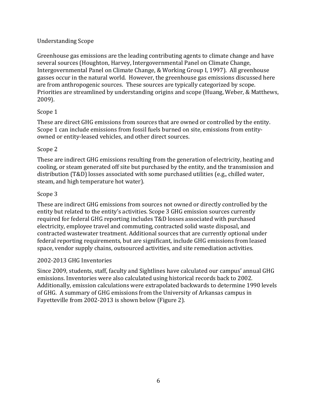## Understanding Scope

Greenhouse gas emissions are the leading contributing agents to climate change and have several sources (Houghton, Harvey, Intergovernmental Panel on Climate Change, Intergovernmental Panel on Climate Change, & Working Group I, 1997). All greenhouse gasses occur in the natural world. However, the greenhouse gas emissions discussed here are from anthropogenic sources. These sources are typically categorized by scope. Priorities are streamlined by understanding origins and scope (Huang, Weber, & Matthews, 2009).

## Scope 1

These are direct GHG emissions from sources that are owned or controlled by the entity. Scope 1 can include emissions from fossil fuels burned on site, emissions from entityowned or entity-leased vehicles, and other direct sources.

## Scope 2

These are indirect GHG emissions resulting from the generation of electricity, heating and cooling, or steam generated off site but purchased by the entity, and the transmission and distribution (T&D) losses associated with some purchased utilities (e.g., chilled water, steam, and high temperature hot water).

## Scope 3

These are indirect GHG emissions from sources not owned or directly controlled by the entity but related to the entity's activities. Scope 3 GHG emission sources currently required for federal GHG reporting includes T&D losses associated with purchased electricity, employee travel and commuting, contracted solid waste disposal, and contracted wastewater treatment. Additional sources that are currently optional under federal reporting requirements, but are significant, include GHG emissions from leased space, vendor supply chains, outsourced activities, and site remediation activities.

# 2002-2013 GHG Inventories

Since 2009, students, staff, faculty and Sightlines have calculated our campus' annual GHG emissions. Inventories were also calculated using historical records back to 2002. Additionally, emission calculations were extrapolated backwards to determine 1990 levels of GHG. A summary of GHG emissions from the University of Arkansas campus in Fayetteville from 2002-2013 is shown below (Figure 2).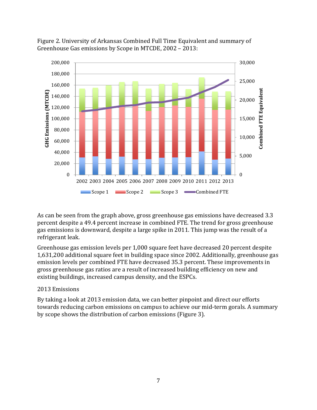

Figure 2. University of Arkansas Combined Full Time Equivalent and summary of Greenhouse Gas emissions by Scope in MTCDE, 2002 – 2013:

As can be seen from the graph above, gross greenhouse gas emissions have decreased 3.3 percent despite a 49.4 percent increase in combined FTE. The trend for gross greenhouse gas emissions is downward, despite a large spike in 2011. This jump was the result of a refrigerant leak.

Greenhouse gas emission levels per 1,000 square feet have decreased 20 percent despite 1,631,200 additional square feet in building space since 2002. Additionally, greenhouse gas emission levels per combined FTE have decreased 35.3 percent. These improvements in gross greenhouse gas ratios are a result of increased building efficiency on new and existing buildings, increased campus density, and the ESPCs.

#### 2013 Emissions

By taking a look at 2013 emission data, we can better pinpoint and direct our efforts towards reducing carbon emissions on campus to achieve our mid-term gorals. A summary by scope shows the distribution of carbon emissions (Figure 3).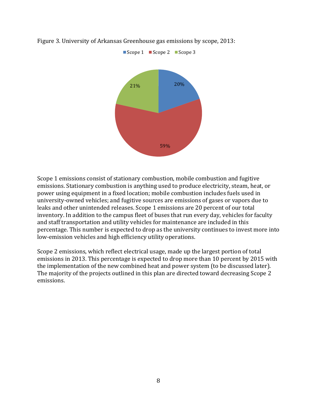

Figure 3. University of Arkansas Greenhouse gas emissions by scope, 2013:

Scope 1 emissions consist of stationary combustion, mobile combustion and fugitive emissions. Stationary combustion is anything used to produce electricity, steam, heat, or power using equipment in a fixed location; mobile combustion includes fuels used in university-owned vehicles; and fugitive sources are emissions of gases or vapors due to leaks and other unintended releases. Scope 1 emissions are 20 percent of our total inventory. In addition to the campus fleet of buses that run every day, vehicles for faculty and staff transportation and utility vehicles for maintenance are included in this percentage. This number is expected to drop as the university continues to invest more into low-emission vehicles and high efficiency utility operations.

Scope 2 emissions, which reflect electrical usage, made up the largest portion of total emissions in 2013. This percentage is expected to drop more than 10 percent by 2015 with the implementation of the new combined heat and power system (to be discussed later). The majority of the projects outlined in this plan are directed toward decreasing Scope 2 emissions.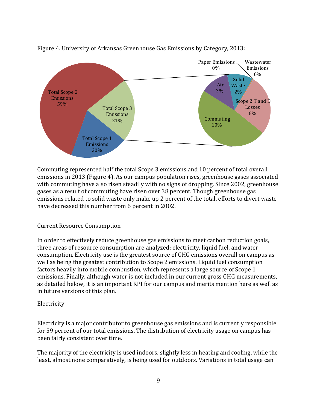

Figure 4. University of Arkansas Greenhouse Gas Emissions by Category, 2013:

Commuting represented half the total Scope 3 emissions and 10 percent of total overall emissions in 2013 (Figure 4). As our campus population rises, greenhouse gases associated with commuting have also risen steadily with no signs of dropping. Since 2002, greenhouse gases as a result of commuting have risen over 38 percent. Though greenhouse gas emissions related to solid waste only make up 2 percent of the total, efforts to divert waste have decreased this number from 6 percent in 2002.

#### Current Resource Consumption

In order to effectively reduce greenhouse gas emissions to meet carbon reduction goals, three areas of resource consumption are analyzed: electricity, liquid fuel, and water consumption. Electricity use is the greatest source of GHG emissions overall on campus as well as being the greatest contribution to Scope 2 emissions. Liquid fuel consumption factors heavily into mobile combustion, which represents a large source of Scope 1 emissions. Finally, although water is not included in our current gross GHG measurements, as detailed below, it is an important KPI for our campus and merits mention here as well as in future versions of this plan.

#### Electricity

Electricity is a major contributor to greenhouse gas emissions and is currently responsible for 59 percent of our total emissions. The distribution of electricity usage on campus has been fairly consistent over time.

The majority of the electricity is used indoors, slightly less in heating and cooling, while the least, almost none comparatively, is being used for outdoors. Variations in total usage can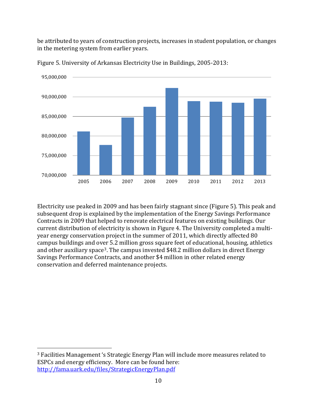be attributed to years of construction projects, increases in student population, or changes in the metering system from earlier years.



Figure 5. University of Arkansas Electricity Use in Buildings, 2005-2013:

Electricity use peaked in 2009 and has been fairly stagnant since (Figure 5). This peak and subsequent drop is explained by the implementation of the Energy Savings Performance Contracts in 2009 that helped to renovate electrical features on existing buildings. Our current distribution of electricity is shown in Figure 4. The University completed a multiyear energy conservation project in the summer of 2011, which directly affected 80 campus buildings and over 5.2 million gross square feet of educational, housing, athletics and other auxiliary space<sup>3</sup>. The campus invested \$48.2 million dollars in direct Energy Savings Performance Contracts, and another \$4 million in other related energy conservation and deferred maintenance projects.

<span id="page-15-0"></span> 3 Facilities Management 's Strategic Energy Plan will include more measures related to ESPCs and energy efficiency. More can be found here: <http://fama.uark.edu/files/StrategicEnergyPlan.pdf>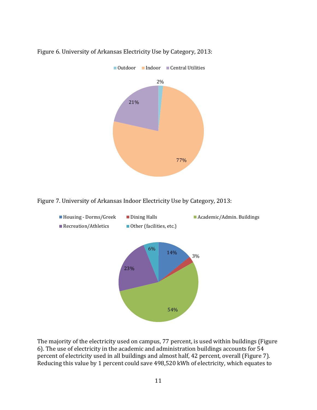

Figure 6. University of Arkansas Electricity Use by Category, 2013:

Figure 7. University of Arkansas Indoor Electricity Use by Category, 2013:



The majority of the electricity used on campus, 77 percent, is used within buildings (Figure 6). The use of electricity in the academic and administration buildings accounts for 54 percent of electricity used in all buildings and almost half, 42 percent, overall (Figure 7). Reducing this value by 1 percent could save 498,520 kWh of electricity, which equates to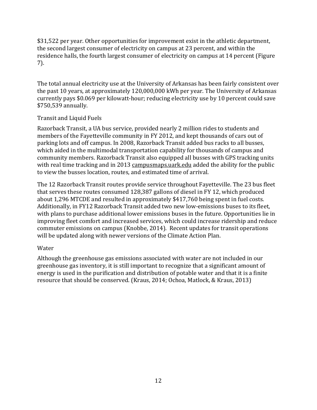\$31,522 per year. Other opportunities for improvement exist in the athletic department, the second largest consumer of electricity on campus at 23 percent, and within the residence halls, the fourth largest consumer of electricity on campus at 14 percent (Figure 7).

The total annual electricity use at the University of Arkansas has been fairly consistent over the past 10 years, at approximately 120,000,000 kWh per year. The University of Arkansas currently pays \$0.069 per kilowatt-hour; reducing electricity use by 10 percent could save \$750,539 annually.

## Transit and Liquid Fuels

Razorback Transit, a UA bus service, provided nearly 2 million rides to students and members of the Fayetteville community in FY 2012, and kept thousands of cars out of parking lots and off campus. In 2008, Razorback Transit added bus racks to all busses, which aided in the multimodal transportation capability for thousands of campus and community members. Razorback Transit also equipped all busses with GPS tracking units with real time tracking and in 2013 [campusmaps.uark.edu](https://exchange.uark.edu/owa/redir.aspx?C=OIKZW5inyEmIQFNNuIole1x0yx_WadEIlwOGOOo8XT_AtSp4rx391YVEgWoUyz4Q4JkxX3Ur6tM.&URL=http%3a%2f%2fcampusmaps.uark.edu) added the ability for the public to view the busses location, routes, and estimated time of arrival.

The 12 Razorback Transit routes provide service throughout Fayetteville. The 23 bus fleet that serves these routes consumed 128,387 gallons of diesel in FY 12, which produced about 1,296 MTCDE and resulted in approximately \$417,760 being spent in fuel costs. Additionally, in FY12 Razorback Transit added two new low-emissions buses to its fleet, with plans to purchase additional lower emissions buses in the future. Opportunities lie in improving fleet comfort and increased services, which could increase ridership and reduce commuter emissions on campus (Knobbe, 2014). Recent updates for transit operations will be updated along with newer versions of the Climate Action Plan.

# Water

Although the greenhouse gas emissions associated with water are not included in our greenhouse gas inventory, it is still important to recognize that a significant amount of energy is used in the purification and distribution of potable water and that it is a finite resource that should be conserved. (Kraus, 2014; Ochoa, Matlock, & Kraus, 2013)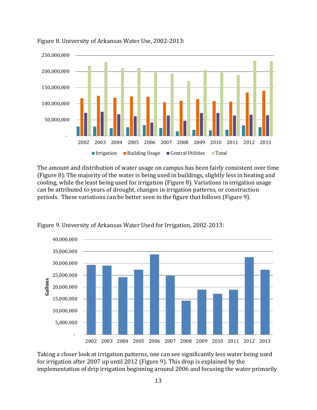

Figure 8. University of Arkansas Water Use, 2002-2013:

The amount and distribution of water usage on campus has been fairly consistent over time (Figure 8). The majority of the water is being used in buildings, slightly less in heating and cooling, while the least being used for irrigation (Figure 8). Variations in irrigation usage can be attributed to years of drought, changes in irrigation patterns, or construction periods. These variations can be better seen in the figure that follows (Figure 9).



Figure 9. University of Arkansas Water Used for Irrigation, 2002-2013:

Taking a closer look at irrigation patterns, one can see significantly less water being used for irrigation after 2007 up until 2012 (Figure 9). This drop is explained by the implementation of drip irrigation beginning around 2006 and focusing the water primarily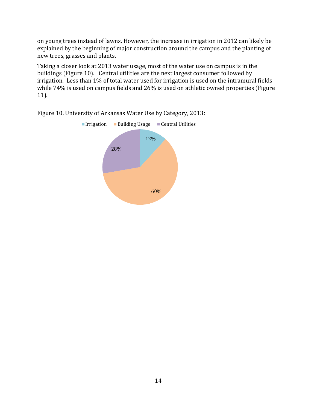on young trees instead of lawns. However, the increase in irrigation in 2012 can likely be explained by the beginning of major construction around the campus and the planting of new trees, grasses and plants.

Taking a closer look at 2013 water usage, most of the water use on campus is in the buildings (Figure 10). Central utilities are the next largest consumer followed by irrigation. Less than 1% of total water used for irrigation is used on the intramural fields while 74% is used on campus fields and 26% is used on athletic owned properties (Figure 11).



Figure 10. University of Arkansas Water Use by Category, 2013: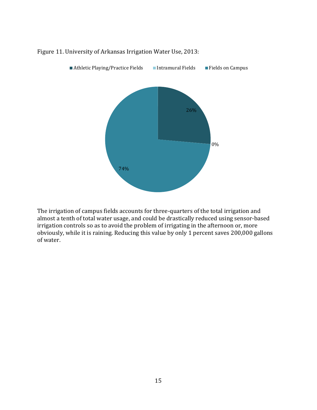

Figure 11. University of Arkansas Irrigation Water Use, 2013:

The irrigation of campus fields accounts for three-quarters of the total irrigation and almost a tenth of total water usage, and could be drastically reduced using sensor-based irrigation controls so as to avoid the problem of irrigating in the afternoon or, more obviously, while it is raining. Reducing this value by only 1 percent saves 200,000 gallons of water.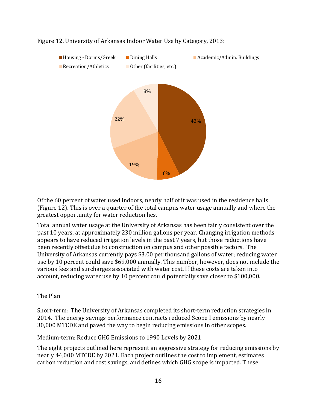

#### Figure 12. University of Arkansas Indoor Water Use by Category, 2013:

Of the 60 percent of water used indoors, nearly half of it was used in the residence halls (Figure 12). This is over a quarter of the total campus water usage annually and where the greatest opportunity for water reduction lies.

Total annual water usage at the University of Arkansas has been fairly consistent over the past 10 years, at approximately 230 million gallons per year. Changing irrigation methods appears to have reduced irrigation levels in the past 7 years, but those reductions have been recently offset due to construction on campus and other possible factors. The University of Arkansas currently pays \$3.00 per thousand gallons of water; reducing water use by 10 percent could save \$69,000 annually. This number, however, does not include the various fees and surcharges associated with water cost. If these costs are taken into account, reducing water use by 10 percent could potentially save closer to \$100,000.

#### The Plan

Short-term: The University of Arkansas completed its short-term reduction strategies in 2014. The energy savings performance contracts reduced Scope I emissions by nearly 30,000 MTCDE and paved the way to begin reducing emissions in other scopes.

Medium-term: Reduce GHG Emissions to 1990 Levels by 2021

The eight projects outlined here represent an aggressive strategy for reducing emissions by nearly 44,000 MTCDE by 2021. Each project outlines the cost to implement, estimates carbon reduction and cost savings, and defines which GHG scope is impacted. These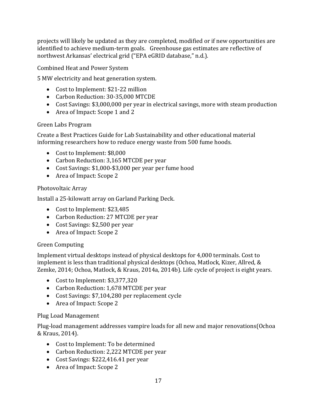projects will likely be updated as they are completed, modified or if new opportunities are identified to achieve medium-term goals. Greenhouse gas estimates are reflective of northwest Arkansas' electrical grid ("EPA eGRID database," n.d.).

Combined Heat and Power System

5 MW electricity and heat generation system.

- Cost to Implement: \$21-22 million
- Carbon Reduction: 30-35,000 MTCDE
- Cost Savings: \$3,000,000 per year in electrical savings, more with steam production
- Area of Impact: Scope 1 and 2

## Green Labs Program

Create a Best Practices Guide for Lab Sustainability and other educational material informing researchers how to reduce energy waste from 500 fume hoods.

- Cost to Implement: \$8,000
- Carbon Reduction: 3,165 MTCDE per year
- Cost Savings: \$1,000-\$3,000 per year per fume hood
- Area of Impact: Scope 2

## Photovoltaic Array

Install a 25-kilowatt array on Garland Parking Deck.

- Cost to Implement: \$23,485
- Carbon Reduction: 27 MTCDE per year
- Cost Savings: \$2,500 per year
- Area of Impact: Scope 2

#### Green Computing

Implement virtual desktops instead of physical desktops for 4,000 terminals. Cost to implement is less than traditional physical desktops (Ochoa, Matlock, Kizer, Allred, & Zemke, 2014; Ochoa, Matlock, & Kraus, 2014a, 2014b). Life cycle of project is eight years.

- Cost to Implement: \$3,377,320
- Carbon Reduction: 1,678 MTCDE per year
- Cost Savings: \$7,104,280 per replacement cycle
- Area of Impact: Scope 2

#### Plug Load Management

Plug-load management addresses vampire loads for all new and major renovations(Ochoa & Kraus, 2014).

- Cost to Implement: To be determined
- Carbon Reduction: 2,222 MTCDE per year
- Cost Savings: \$222,416.41 per year
- Area of Impact: Scope 2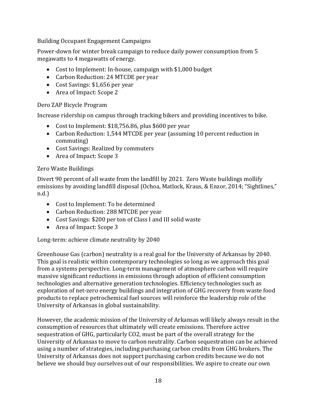Building Occupant Engagement Campaigns

Power-down for winter break campaign to reduce daily power consumption from 5 megawatts to 4 megawatts of energy.

- Cost to Implement: In-house, campaign with \$1,000 budget
- Carbon Reduction: 24 MTCDE per year
- Cost Savings: \$1,656 per year
- Area of Impact: Scope 2

## Dero ZAP Bicycle Program

Increase ridership on campus through tracking bikers and providing incentives to bike.

- Cost to Implement: \$18,756.86, plus \$600 per year
- Carbon Reduction: 1,544 MTCDE per year (assuming 10 percent reduction in commuting)
- Cost Savings: Realized by commuters
- Area of Impact: Scope 3

#### Zero Waste Buildings

Divert 90 percent of all waste from the landfill by 2021. Zero Waste buildings mollify emissions by avoiding landfill disposal (Ochoa, Matlock, Kraus, & Enzor, 2014; "Sightlines," n.d.)

- Cost to Implement: To be determined
- Carbon Reduction: 288 MTCDE per year
- Cost Savings: \$200 per ton of Class I and III solid waste
- Area of Impact: Scope 3

Long-term: achieve climate neutrality by 2040

Greenhouse Gas (carbon) neutrality is a real goal for the University of Arkansas by 2040. This goal is realistic within contemporary technologies so long as we approach this goal from a systems perspective. Long-term management of atmosphere carbon will require massive significant reductions in emissions through adoption of efficient consumption technologies and alternative generation technologies. Efficiency technologies such as exploration of net-zero energy buildings and integration of GHG recovery from waste food products to replace petrochemical fuel sources will reinforce the leadership role of the University of Arkansas in global sustainability.

However, the academic mission of the University of Arkansas will likely always result in the consumption of resources that ultimately will create emissions. Therefore active sequestration of GHG, particularly CO2, must be part of the overall strategy for the University of Arkansas to move to carbon neutrality. Carbon sequestration can be achieved using a number of strategies, including purchasing carbon credits from GHG brokers. The University of Arkansas does not support purchasing carbon credits because we do not believe we should buy ourselves out of our responsibilities. We aspire to create our own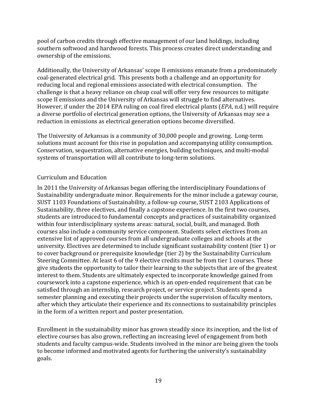pool of carbon credits through effective management of our land holdings, including southern softwood and hardwood forests. This process creates direct understanding and ownership of the emissions.

Additionally, the University of Arkansas' scope II emissions emanate from a predominately coal-generated electrical grid. This presents both a challenge and an opportunity for reducing local and regional emissions associated with electrical consumption. The challenge is that a heavy reliance on cheap coal will offer very few resources to mitigate scope II emissions and the University of Arkansas will struggle to find alternatives. However, if under the 2014 EPA ruling on coal fired electrical plants (*EPA*, n.d.) will require a diverse portfolio of electrical generation options, the University of Arkansas may see a reduction in emissions as electrical generation options become diversified.

The University of Arkansas is a community of 30,000 people and growing. Long-term solutions must account for this rise in population and accompanying utility consumption. Conservation, sequestration, alternative energies, building techniques, and multi-modal systems of transportation will all contribute to long-term solutions.

## Curriculum and Education

In 2011 the University of Arkansas began offering the interdisciplinary Foundations of Sustainability undergraduate minor. Requirements for the minor include a gateway course, SUST 1103 Foundations of Sustainability, a follow-up course, SUST 2103 Applications of Sustainability, three electives, and finally a capstone experience. In the first two courses, students are introduced to fundamental concepts and practices of sustainability organized within four interdisciplinary systems areas: natural, social, built, and managed. Both courses also include a community service component. Students select electives from an extensive list of approved courses from all undergraduate colleges and schools at the university. Electives are determined to include significant sustainability content (tier 1) or to cover background or prerequisite knowledge (tier 2) by the Sustainability Curriculum Steering Committee. At least 6 of the 9 elective credits must be from tier 1 courses. These give students the opportunity to tailor their learning to the subjects that are of the greatest interest to them. Students are ultimately expected to incorporate knowledge gained from coursework into a capstone experience, which is an open-ended requirement that can be satisfied through an internship, research project, or service project. Students spend a semester planning and executing their projects under the supervision of faculty mentors, after which they articulate their experience and its connections to sustainability principles in the form of a written report and poster presentation.

Enrollment in the sustainability minor has grown steadily since its inception, and the list of elective courses has also grown, reflecting an increasing level of engagement from both students and faculty campus-wide. Students involved in the minor are being given the tools to become informed and motivated agents for furthering the university's sustainability goals.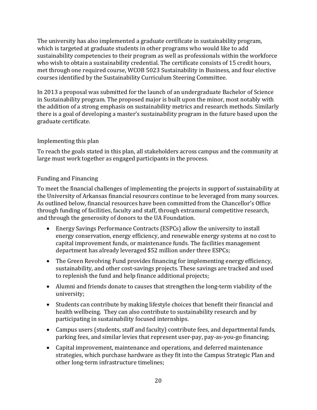The university has also implemented a graduate certificate in sustainability program, which is targeted at graduate students in other programs who would like to add sustainability competencies to their program as well as professionals within the workforce who wish to obtain a sustainability credential. The certificate consists of 15 credit hours, met through one required course, WCOB 5023 Sustainability in Business, and four elective courses identified by the Sustainability Curriculum Steering Committee.

In 2013 a proposal was submitted for the launch of an undergraduate Bachelor of Science in Sustainability program. The proposed major is built upon the minor, most notably with the addition of a strong emphasis on sustainability metrics and research methods. Similarly there is a goal of developing a master's sustainability program in the future based upon the graduate certificate.

# Implementing this plan

To reach the goals stated in this plan, all stakeholders across campus and the community at large must work together as engaged participants in the process.

## Funding and Financing

To meet the financial challenges of implementing the projects in support of sustainability at the University of Arkansas financial resources continue to be leveraged from many sources. As outlined below, financial resources have been committed from the Chancellor's Office through funding of facilities, faculty and staff, through extramural competitive research, and through the generosity of donors to the UA Foundation.

- Energy Savings Performance Contracts (ESPCs) allow the university to install energy conservation, energy efficiency, and renewable energy systems at no cost to capital improvement funds, or maintenance funds. The facilities management department has already leveraged \$52 million under three ESPCs;
- The Green Revolving Fund provides financing for implementing energy efficiency, sustainability, and other cost-savings projects. These savings are tracked and used to replenish the fund and help finance additional projects;
- Alumni and friends donate to causes that strengthen the long-term viability of the university;
- Students can contribute by making lifestyle choices that benefit their financial and health wellbeing. They can also contribute to sustainability research and by participating in sustainability focused internships.
- Campus users (students, staff and faculty) contribute fees, and departmental funds, parking fees, and similar levies that represent user-pay, pay-as-you-go financing;
- Capital improvement, maintenance and operations, and deferred maintenance strategies, which purchase hardware as they fit into the Campus Strategic Plan and other long-term infrastructure timelines;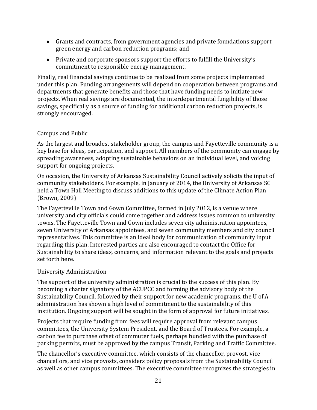- Grants and contracts, from government agencies and private foundations support green energy and carbon reduction programs; and
- Private and corporate sponsors support the efforts to fulfill the University's commitment to responsible energy management.

Finally, real financial savings continue to be realized from some projects implemented under this plan. Funding arrangements will depend on cooperation between programs and departments that generate benefits and those that have funding needs to initiate new projects. When real savings are documented, the interdepartmental fungibility of those savings, specifically as a source of funding for additional carbon reduction projects, is strongly encouraged.

# Campus and Public

As the largest and broadest stakeholder group, the campus and Fayetteville community is a key base for ideas, participation, and support. All members of the community can engage by spreading awareness, adopting sustainable behaviors on an individual level, and voicing support for ongoing projects.

On occasion, the University of Arkansas Sustainability Council actively solicits the input of community stakeholders. For example, in January of 2014, the University of Arkansas SC held a Town Hall Meeting to discuss additions to this update of the Climate Action Plan (Brown, 2009)

The Fayetteville Town and Gown Committee, formed in July 2012, is a venue where university and city officials could come together and address issues common to university towns. The Fayetteville Town and Gown includes seven city administration appointees, seven University of Arkansas appointees, and seven community members and city council representatives. This committee is an ideal body for communication of community input regarding this plan. Interested parties are also encouraged to contact the Office for Sustainability to share ideas, concerns, and information relevant to the goals and projects set forth here.

# University Administration

The support of the university administration is crucial to the success of this plan. By becoming a charter signatory of the ACUPCC and forming the advisory body of the Sustainability Council, followed by their support for new academic programs, the U of A administration has shown a high level of commitment to the sustainability of this institution. Ongoing support will be sought in the form of approval for future initiatives.

Projects that require funding from fees will require approval from relevant campus committees, the University System President, and the Board of Trustees. For example, a carbon fee to purchase offset of commuter fuels, perhaps bundled with the purchase of parking permits, must be approved by the campus Transit, Parking and Traffic Committee.

The chancellor's executive committee, which consists of the chancellor, provost, vice chancellors, and vice provosts, considers policy proposals from the Sustainability Council as well as other campus committees. The executive committee recognizes the strategies in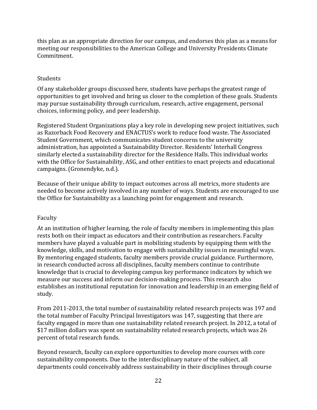this plan as an appropriate direction for our campus, and endorses this plan as a means for meeting our responsibilities to the American College and University Presidents Climate Commitment.

## Students

Of any stakeholder groups discussed here, students have perhaps the greatest range of opportunities to get involved and bring us closer to the completion of these goals. Students may pursue sustainability through curriculum, research, active engagement, personal choices, informing policy, and peer leadership.

Registered Student Organizations play a key role in developing new project initiatives, such as Razorback Food Recovery and ENACTUS's work to reduce food waste. The Associated Student Government, which communicates student concerns to the university administration, has appointed a Sustainability Director. Residents' Interhall Congress similarly elected a sustainability director for the Residence Halls. This individual works with the Office for Sustainability, ASG, and other entities to enact projects and educational campaigns. (Gronendyke, n.d.).

Because of their unique ability to impact outcomes across all metrics, more students are needed to become actively involved in any number of ways. Students are encouraged to use the Office for Sustainability as a launching point for engagement and research.

#### Faculty

At an institution of higher learning, the role of faculty members in implementing this plan rests both on their impact as educators and their contribution as researchers. Faculty members have played a valuable part in mobilizing students by equipping them with the knowledge, skills, and motivation to engage with sustainability issues in meaningful ways. By mentoring engaged students, faculty members provide crucial guidance. Furthermore, in research conducted across all disciplines, faculty members continue to contribute knowledge that is crucial to developing campus key performance indicators by which we measure our success and inform our decision-making process. This research also establishes an institutional reputation for innovation and leadership in an emerging field of study.

From 2011-2013, the total number of sustainability related research projects was 197 and the total number of Faculty Principal Investigators was 147, suggesting that there are faculty engaged in more than one sustainability related research project. In 2012, a total of \$17 million dollars was spent on sustainability related research projects, which was 26 percent of total research funds.

Beyond research, faculty can explore opportunities to develop more courses with core sustainability components. Due to the interdisciplinary nature of the subject, all departments could conceivably address sustainability in their disciplines through course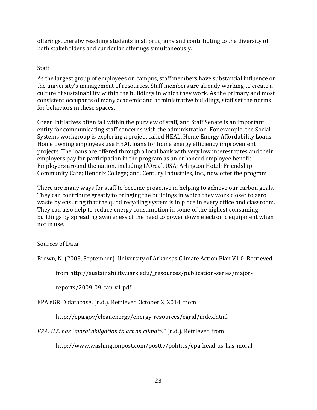offerings, thereby reaching students in all programs and contributing to the diversity of both stakeholders and curricular offerings simultaneously.

# **Staff**

As the largest group of employees on campus, staff members have substantial influence on the university's management of resources. Staff members are already working to create a culture of sustainability within the buildings in which they work. As the primary and most consistent occupants of many academic and administrative buildings, staff set the norms for behaviors in these spaces.

Green initiatives often fall within the purview of staff, and Staff Senate is an important entity for communicating staff concerns with the administration. For example, the Social Systems workgroup is exploring a project called HEAL, Home Energy Affordability Loans. Home owning employees use HEAL loans for home energy efficiency improvement projects. The loans are offered through a local bank with very low interest rates and their employers pay for participation in the program as an enhanced employee benefit. Employers around the nation, including L'Oreal, USA; Arlington Hotel; Friendship Community Care; Hendrix College; and, Century Industries, Inc., now offer the program

There are many ways for staff to become proactive in helping to achieve our carbon goals. They can contribute greatly to bringing the buildings in which they work closer to zero waste by ensuring that the quad recycling system is in place in every office and classroom. They can also help to reduce energy consumption in some of the highest consuming buildings by spreading awareness of the need to power down electronic equipment when not in use.

# Sources of Data

Brown, N. (2009, September). University of Arkansas Climate Action Plan V1.0. Retrieved

from http://sustainability.uark.edu/\_resources/publication-series/major-

reports/2009-09-cap-v1.pdf

EPA eGRID database. (n.d.). Retrieved October 2, 2014, from

http://epa.gov/cleanenergy/energy-resources/egrid/index.html

*EPA: U.S. has "moral obligation to act on climate."* (n.d.). Retrieved from

http://www.washingtonpost.com/posttv/politics/epa-head-us-has-moral-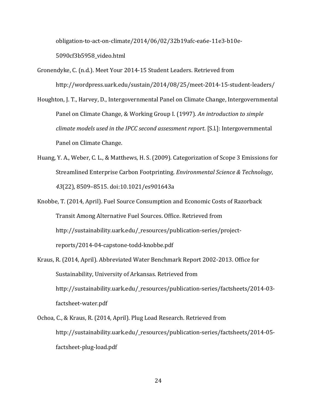obligation-to-act-on-climate/2014/06/02/32b19afc-ea6e-11e3-b10e-5090cf3b5958\_video.html

- Gronendyke, C. (n.d.). Meet Your 2014-15 Student Leaders. Retrieved from http://wordpress.uark.edu/sustain/2014/08/25/meet-2014-15-student-leaders/
- Houghton, J. T., Harvey, D., Intergovernmental Panel on Climate Change, Intergovernmental Panel on Climate Change, & Working Group I. (1997). *An introduction to simple climate models used in the IPCC second assessment report*. [S.l.]: Intergovernmental Panel on Climate Change.
- Huang, Y. A., Weber, C. L., & Matthews, H. S. (2009). Categorization of Scope 3 Emissions for Streamlined Enterprise Carbon Footprinting. *Environmental Science & Technology*, *43*(22), 8509–8515. doi:10.1021/es901643a
- Knobbe, T. (2014, April). Fuel Source Consumption and Economic Costs of Razorback Transit Among Alternative Fuel Sources. Office. Retrieved from http://sustainability.uark.edu/\_resources/publication-series/projectreports/2014-04-capstone-todd-knobbe.pdf
- Kraus, R. (2014, April). Abbreviated Water Benchmark Report 2002-2013. Office for Sustainability, University of Arkansas. Retrieved from http://sustainability.uark.edu/\_resources/publication-series/factsheets/2014-03 factsheet-water.pdf
- Ochoa, C., & Kraus, R. (2014, April). Plug Load Research. Retrieved from http://sustainability.uark.edu/\_resources/publication-series/factsheets/2014-05 factsheet-plug-load.pdf